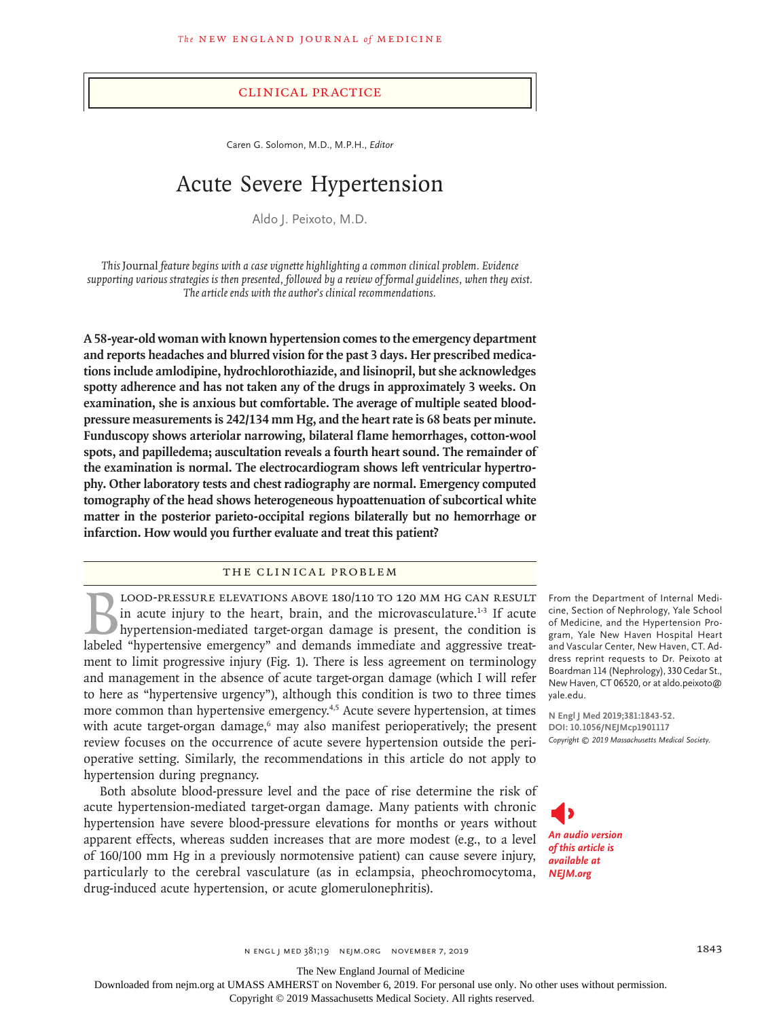## Clinical Practice

Caren G. Solomon, M.D., M.P.H., *Editor*

# Acute Severe Hypertension

Aldo J. Peixoto, M.D.

*This* Journal *feature begins with a case vignette highlighting a common clinical problem. Evidence supporting various strategies is then presented, followed by a review of formal guidelines, when they exist. The article ends with the author's clinical recommendations.*

**A 58-year-old woman with known hypertension comes to the emergency department and reports headaches and blurred vision for the past 3 days. Her prescribed medications include amlodipine, hydrochlorothiazide, and lisinopril, but she acknowledges spotty adherence and has not taken any of the drugs in approximately 3 weeks. On examination, she is anxious but comfortable. The average of multiple seated bloodpressure measurements is 242/134 mm Hg, and the heart rate is 68 beats per minute. Funduscopy shows arteriolar narrowing, bilateral flame hemorrhages, cotton-wool spots, and papilledema; auscultation reveals a fourth heart sound. The remainder of the examination is normal. The electrocardiogram shows left ventricular hypertrophy. Other laboratory tests and chest radiography are normal. Emergency computed tomography of the head shows heterogeneous hypoattenuation of subcortical white matter in the posterior parieto-occipital regions bilaterally but no hemorrhage or infarction. How would you further evaluate and treat this patient?**

# The Clinical Problem

LOOD-PRESSURE ELEVATIONS ABOVE 180/110 TO 120 MM HG CAN RESULT<br>in acute injury to the heart, brain, and the microvasculature.<sup>1-3</sup> If acute<br>hypertension-mediated target-organ damage is present, the condition is<br>labeled "hy in acute injury to the heart, brain, and the microvasculature.<sup>1-3</sup> If acute hypertension-mediated target-organ damage is present, the condition is labeled "hypertensive emergency" and demands immediate and aggressive treatment to limit progressive injury (Fig. 1). There is less agreement on terminology and management in the absence of acute target-organ damage (which I will refer to here as "hypertensive urgency"), although this condition is two to three times more common than hypertensive emergency.<sup>4,5</sup> Acute severe hypertension, at times with acute target-organ damage,<sup>6</sup> may also manifest perioperatively; the present review focuses on the occurrence of acute severe hypertension outside the perioperative setting. Similarly, the recommendations in this article do not apply to hypertension during pregnancy.

Both absolute blood-pressure level and the pace of rise determine the risk of acute hypertension-mediated target-organ damage. Many patients with chronic hypertension have severe blood-pressure elevations for months or years without apparent effects, whereas sudden increases that are more modest (e.g., to a level of 160/100 mm Hg in a previously normotensive patient) can cause severe injury, particularly to the cerebral vasculature (as in eclampsia, pheochromocytoma, drug-induced acute hypertension, or acute glomerulonephritis).

From the Department of Internal Medicine, Section of Nephrology, Yale School of Medicine, and the Hypertension Program, Yale New Haven Hospital Heart and Vascular Center, New Haven, CT. Address reprint requests to Dr. Peixoto at Boardman 114 (Nephrology), 330 Cedar St., New Haven, CT 06520, or at aldo.peixoto@ yale.edu.

**N Engl J Med 2019;381:1843-52. DOI: 10.1056/NEJMcp1901117** *Copyright © 2019 Massachusetts Medical Society.*



The New England Journal of Medicine

Downloaded from nejm.org at UMASS AMHERST on November 6, 2019. For personal use only. No other uses without permission.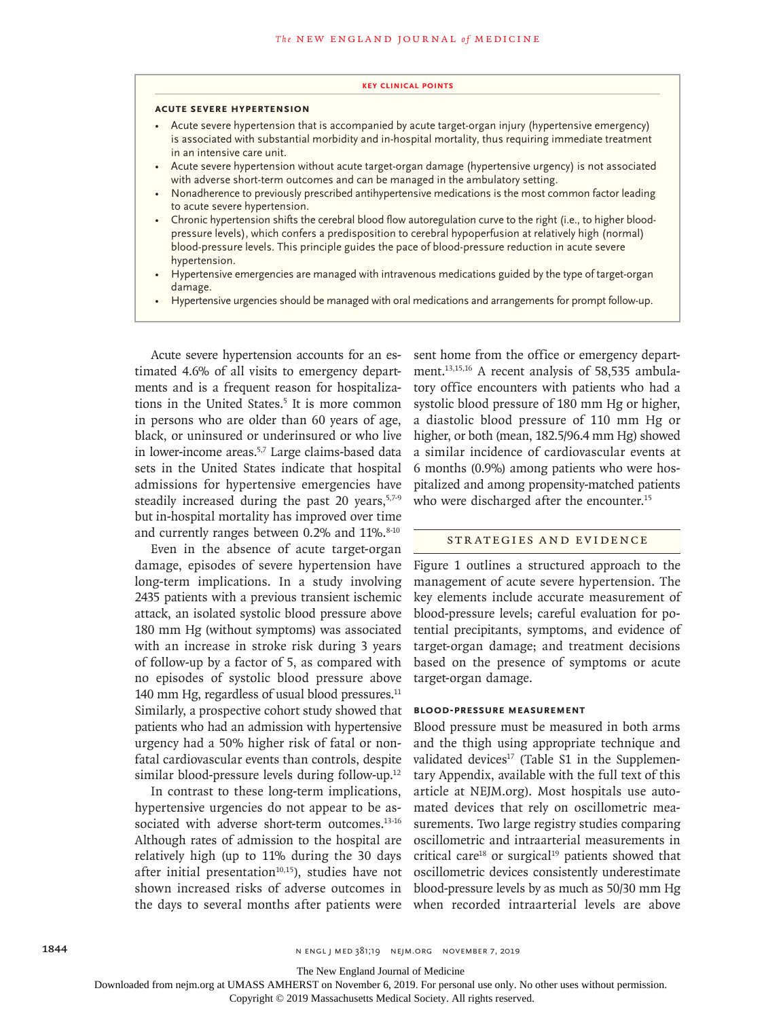#### **Key Clinical Points**

#### **Acute Severe Hypertension**

- Acute severe hypertension that is accompanied by acute target-organ injury (hypertensive emergency) is associated with substantial morbidity and in-hospital mortality, thus requiring immediate treatment in an intensive care unit.
- Acute severe hypertension without acute target-organ damage (hypertensive urgency) is not associated with adverse short-term outcomes and can be managed in the ambulatory setting.
- Nonadherence to previously prescribed antihypertensive medications is the most common factor leading to acute severe hypertension.
- Chronic hypertension shifts the cerebral blood flow autoregulation curve to the right (i.e., to higher bloodpressure levels), which confers a predisposition to cerebral hypoperfusion at relatively high (normal) blood-pressure levels. This principle guides the pace of blood-pressure reduction in acute severe hypertension.
- Hypertensive emergencies are managed with intravenous medications guided by the type of target-organ damage.
- Hypertensive urgencies should be managed with oral medications and arrangements for prompt follow-up.

Acute severe hypertension accounts for an estimated 4.6% of all visits to emergency departments and is a frequent reason for hospitalizations in the United States.<sup>5</sup> It is more common in persons who are older than 60 years of age, black, or uninsured or underinsured or who live in lower-income areas.<sup>5,7</sup> Large claims-based data sets in the United States indicate that hospital admissions for hypertensive emergencies have steadily increased during the past 20 years,  $57-9$ but in-hospital mortality has improved over time and currently ranges between  $0.2\%$  and  $11\%$ .  $8-10$ 

Even in the absence of acute target-organ damage, episodes of severe hypertension have long-term implications. In a study involving 2435 patients with a previous transient ischemic attack, an isolated systolic blood pressure above 180 mm Hg (without symptoms) was associated with an increase in stroke risk during 3 years of follow-up by a factor of 5, as compared with no episodes of systolic blood pressure above 140 mm Hg, regardless of usual blood pressures.<sup>11</sup> Similarly, a prospective cohort study showed that patients who had an admission with hypertensive urgency had a 50% higher risk of fatal or nonfatal cardiovascular events than controls, despite similar blood-pressure levels during follow-up.<sup>12</sup>

In contrast to these long-term implications, hypertensive urgencies do not appear to be associated with adverse short-term outcomes.<sup>13-16</sup> Although rates of admission to the hospital are relatively high (up to 11% during the 30 days after initial presentation $10,15$ ), studies have not shown increased risks of adverse outcomes in the days to several months after patients were sent home from the office or emergency department.13,15,16 A recent analysis of 58,535 ambulatory office encounters with patients who had a systolic blood pressure of 180 mm Hg or higher, a diastolic blood pressure of 110 mm Hg or higher, or both (mean, 182.5/96.4 mm Hg) showed a similar incidence of cardiovascular events at 6 months (0.9%) among patients who were hospitalized and among propensity-matched patients who were discharged after the encounter.<sup>15</sup>

### Strategies and Evidence

Figure 1 outlines a structured approach to the management of acute severe hypertension. The key elements include accurate measurement of blood-pressure levels; careful evaluation for potential precipitants, symptoms, and evidence of target-organ damage; and treatment decisions based on the presence of symptoms or acute target-organ damage.

## **Blood-Pressure Measurement**

Blood pressure must be measured in both arms and the thigh using appropriate technique and validated devices $17$  (Table S1 in the Supplementary Appendix, available with the full text of this article at NEJM.org). Most hospitals use automated devices that rely on oscillometric measurements. Two large registry studies comparing oscillometric and intraarterial measurements in critical care<sup>18</sup> or surgical<sup>19</sup> patients showed that oscillometric devices consistently underestimate blood-pressure levels by as much as 50/30 mm Hg when recorded intraarterial levels are above

The New England Journal of Medicine

Downloaded from nejm.org at UMASS AMHERST on November 6, 2019. For personal use only. No other uses without permission.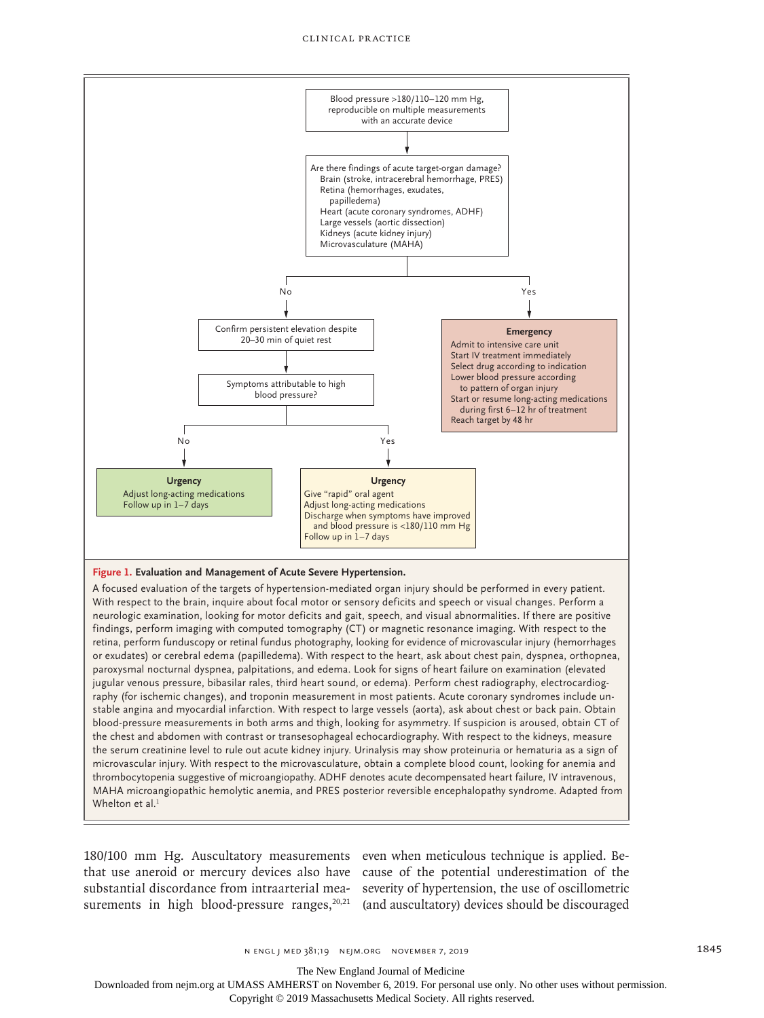

neurologic examination, looking for motor deficits and gait, speech, and visual abnormalities. If there are positive findings, perform imaging with computed tomography (CT) or magnetic resonance imaging. With respect to the retina, perform funduscopy or retinal fundus photography, looking for evidence of microvascular injury (hemorrhages or exudates) or cerebral edema (papilledema). With respect to the heart, ask about chest pain, dyspnea, orthopnea, paroxysmal nocturnal dyspnea, palpitations, and edema. Look for signs of heart failure on examination (elevated jugular venous pressure, bibasilar rales, third heart sound, or edema). Perform chest radiography, electrocardiography (for ischemic changes), and troponin measurement in most patients. Acute coronary syndromes include unstable angina and myocardial infarction. With respect to large vessels (aorta), ask about chest or back pain. Obtain blood-pressure measurements in both arms and thigh, looking for asymmetry. If suspicion is aroused, obtain CT of the chest and abdomen with contrast or transesophageal echocardiography. With respect to the kidneys, measure the serum creatinine level to rule out acute kidney injury. Urinalysis may show proteinuria or hematuria as a sign of microvascular injury. With respect to the microvasculature, obtain a complete blood count, looking for anemia and thrombocytopenia suggestive of microangiopathy. ADHF denotes acute decompensated heart failure, IV intravenous, MAHA microangiopathic hemolytic anemia, and PRES posterior reversible encephalopathy syndrome. Adapted from Whelton et al.<sup>1</sup>

180/100 mm Hg. Auscultatory measurements even when meticulous technique is applied. Bethat use aneroid or mercury devices also have cause of the potential underestimation of the substantial discordance from intraarterial mea-severity of hypertension, the use of oscillometric surements in high blood-pressure ranges, $20,21$  (and auscultatory) devices should be discouraged

n engl j med 381;19 nejm.org November 7, 2019 1845

The New England Journal of Medicine

Downloaded from nejm.org at UMASS AMHERST on November 6, 2019. For personal use only. No other uses without permission.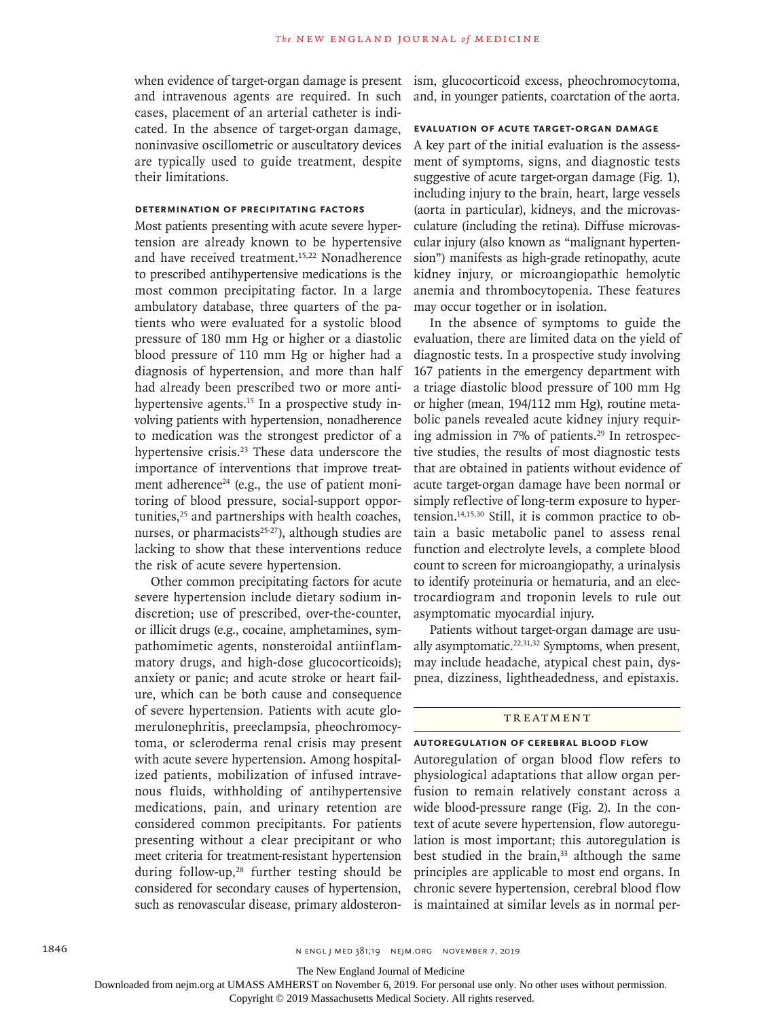when evidence of target-organ damage is present and intravenous agents are required. In such cases, placement of an arterial catheter is indicated. In the absence of target-organ damage, noninvasive oscillometric or auscultatory devices are typically used to guide treatment, despite their limitations.

# **Determination of Precipitating Factors**

Most patients presenting with acute severe hypertension are already known to be hypertensive and have received treatment.<sup>15,22</sup> Nonadherence to prescribed antihypertensive medications is the most common precipitating factor. In a large ambulatory database, three quarters of the patients who were evaluated for a systolic blood pressure of 180 mm Hg or higher or a diastolic blood pressure of 110 mm Hg or higher had a diagnosis of hypertension, and more than half had already been prescribed two or more antihypertensive agents.<sup>15</sup> In a prospective study involving patients with hypertension, nonadherence to medication was the strongest predictor of a hypertensive crisis.<sup>23</sup> These data underscore the importance of interventions that improve treatment adherence<sup>24</sup> (e.g., the use of patient monitoring of blood pressure, social-support opportunities,<sup>25</sup> and partnerships with health coaches, nurses, or pharmacists $25-27$ ), although studies are lacking to show that these interventions reduce the risk of acute severe hypertension.

Other common precipitating factors for acute severe hypertension include dietary sodium indiscretion; use of prescribed, over-the-counter, or illicit drugs (e.g., cocaine, amphetamines, sympathomimetic agents, nonsteroidal antiinflammatory drugs, and high-dose glucocorticoids); anxiety or panic; and acute stroke or heart failure, which can be both cause and consequence of severe hypertension. Patients with acute glomerulonephritis, preeclampsia, pheochromocytoma, or scleroderma renal crisis may present with acute severe hypertension. Among hospitalized patients, mobilization of infused intravenous fluids, withholding of antihypertensive medications, pain, and urinary retention are considered common precipitants. For patients presenting without a clear precipitant or who meet criteria for treatment-resistant hypertension during follow-up, $28$  further testing should be considered for secondary causes of hypertension, such as renovascular disease, primary aldosteronism, glucocorticoid excess, pheochromocytoma, and, in younger patients, coarctation of the aorta.

# **Evaluation of Acute Target-Organ Damage**

A key part of the initial evaluation is the assessment of symptoms, signs, and diagnostic tests suggestive of acute target-organ damage (Fig. 1), including injury to the brain, heart, large vessels (aorta in particular), kidneys, and the microvasculature (including the retina). Diffuse microvascular injury (also known as "malignant hypertension") manifests as high-grade retinopathy, acute kidney injury, or microangiopathic hemolytic anemia and thrombocytopenia. These features may occur together or in isolation.

In the absence of symptoms to guide the evaluation, there are limited data on the yield of diagnostic tests. In a prospective study involving 167 patients in the emergency department with a triage diastolic blood pressure of 100 mm Hg or higher (mean, 194/112 mm Hg), routine metabolic panels revealed acute kidney injury requiring admission in 7% of patients.<sup>29</sup> In retrospective studies, the results of most diagnostic tests that are obtained in patients without evidence of acute target-organ damage have been normal or simply reflective of long-term exposure to hypertension.14,15,30 Still, it is common practice to obtain a basic metabolic panel to assess renal function and electrolyte levels, a complete blood count to screen for microangiopathy, a urinalysis to identify proteinuria or hematuria, and an electrocardiogram and troponin levels to rule out asymptomatic myocardial injury.

Patients without target-organ damage are usually asymptomatic. $22,31,32$  Symptoms, when present, may include headache, atypical chest pain, dyspnea, dizziness, lightheadedness, and epistaxis.

# **TREATMENT**

# **Autoregulation of Cerebral Blood Flow**

Autoregulation of organ blood flow refers to physiological adaptations that allow organ perfusion to remain relatively constant across a wide blood-pressure range (Fig. 2). In the context of acute severe hypertension, flow autoregulation is most important; this autoregulation is best studied in the brain,<sup>33</sup> although the same principles are applicable to most end organs. In chronic severe hypertension, cerebral blood flow is maintained at similar levels as in normal per-

The New England Journal of Medicine

Downloaded from nejm.org at UMASS AMHERST on November 6, 2019. For personal use only. No other uses without permission.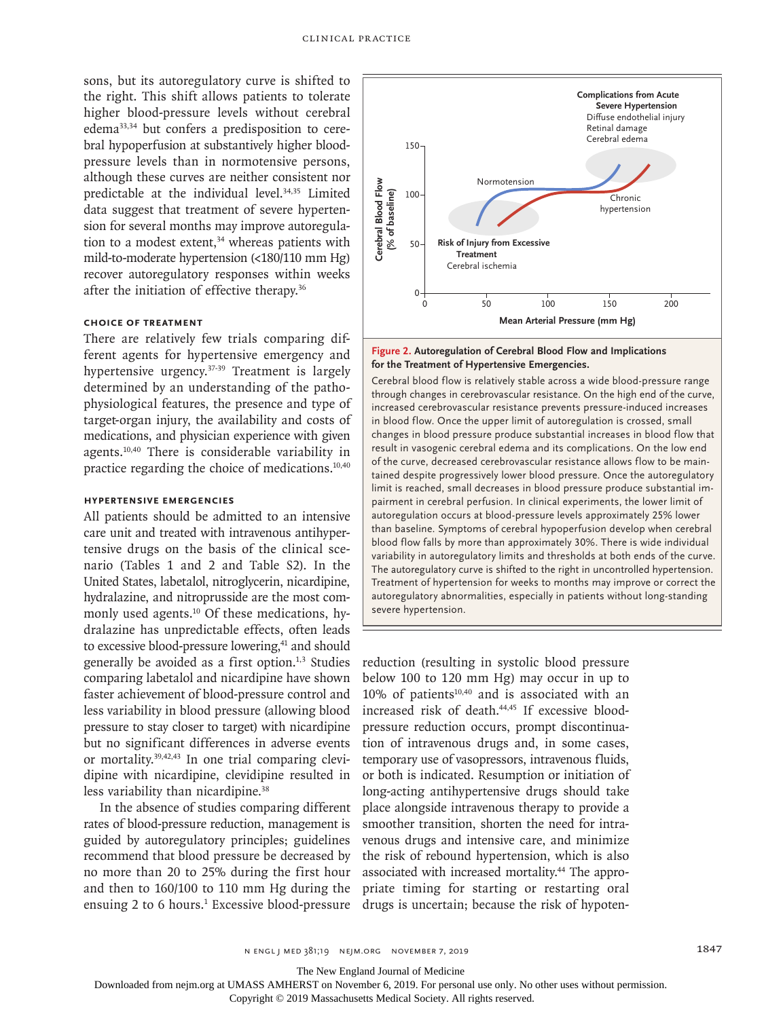sons, but its autoregulatory curve is shifted to the right. This shift allows patients to tolerate higher blood-pressure levels without cerebral edema33,34 but confers a predisposition to cerebral hypoperfusion at substantively higher bloodpressure levels than in normotensive persons, although these curves are neither consistent nor predictable at the individual level.<sup>34,35</sup> Limited data suggest that treatment of severe hypertension for several months may improve autoregulation to a modest extent,<sup>34</sup> whereas patients with mild-to-moderate hypertension (<180/110 mm Hg) recover autoregulatory responses within weeks after the initiation of effective therapy.<sup>36</sup>

# **Choice of Treatment**

There are relatively few trials comparing different agents for hypertensive emergency and hypertensive urgency.37-39 Treatment is largely determined by an understanding of the pathophysiological features, the presence and type of target-organ injury, the availability and costs of medications, and physician experience with given agents.10,40 There is considerable variability in practice regarding the choice of medications.10,40

# **Hypertensive Emergencies**

All patients should be admitted to an intensive care unit and treated with intravenous antihypertensive drugs on the basis of the clinical scenario (Tables 1 and 2 and Table S2). In the United States, labetalol, nitroglycerin, nicardipine, hydralazine, and nitroprusside are the most commonly used agents.<sup>10</sup> Of these medications, hydralazine has unpredictable effects, often leads to excessive blood-pressure lowering,<sup>41</sup> and should generally be avoided as a first option. $1,3$  Studies comparing labetalol and nicardipine have shown faster achievement of blood-pressure control and less variability in blood pressure (allowing blood pressure to stay closer to target) with nicardipine but no significant differences in adverse events or mortality.39,42,43 In one trial comparing clevidipine with nicardipine, clevidipine resulted in less variability than nicardipine.<sup>38</sup>

In the absence of studies comparing different rates of blood-pressure reduction, management is guided by autoregulatory principles; guidelines recommend that blood pressure be decreased by no more than 20 to 25% during the first hour and then to 160/100 to 110 mm Hg during the ensuing 2 to 6 hours.<sup>1</sup> Excessive blood-pressure drugs is uncertain; because the risk of hypoten-



# **Figure 2. Autoregulation of Cerebral Blood Flow and Implications for the Treatment of Hypertensive Emergencies.**

Cerebral blood flow is relatively stable across a wide blood-pressure range through changes in cerebrovascular resistance. On the high end of the curve, increased cerebrovascular resistance prevents pressure-induced increases in blood flow. Once the upper limit of autoregulation is crossed, small changes in blood pressure produce substantial increases in blood flow that result in vasogenic cerebral edema and its complications. On the low end of the curve, decreased cerebrovascular resistance allows flow to be maintained despite progressively lower blood pressure. Once the autoregulatory limit is reached, small decreases in blood pressure produce substantial impairment in cerebral perfusion. In clinical experiments, the lower limit of autoregulation occurs at blood-pressure levels approximately 25% lower than baseline. Symptoms of cerebral hypoperfusion develop when cerebral blood flow falls by more than approximately 30%. There is wide individual variability in autoregulatory limits and thresholds at both ends of the curve. The autoregulatory curve is shifted to the right in uncontrolled hypertension. Treatment of hypertension for weeks to months may improve or correct the autoregulatory abnormalities, especially in patients without long-standing **Severe hypertension.**<br> **Cerebral Blood Flow Severe Cerebral Blood flow**<br> **Cerebral Blood flow** Cerebral Blood flow intrough changes in contrasted cerebrovas<br>
increased cerebrovas in blood flow intrough changes in blood fl

reduction (resulting in systolic blood pressure below 100 to 120 mm Hg) may occur in up to  $10\%$  of patients<sup>10,40</sup> and is associated with an increased risk of death.<sup>44,45</sup> If excessive bloodpressure reduction occurs, prompt discontinuation of intravenous drugs and, in some cases, temporary use of vasopressors, intravenous fluids, or both is indicated. Resumption or initiation of long-acting antihypertensive drugs should take place alongside intravenous therapy to provide a smoother transition, shorten the need for intravenous drugs and intensive care, and minimize the risk of rebound hypertension, which is also associated with increased mortality.44 The appropriate timing for starting or restarting oral

The New England Journal of Medicine

Downloaded from nejm.org at UMASS AMHERST on November 6, 2019. For personal use only. No other uses without permission.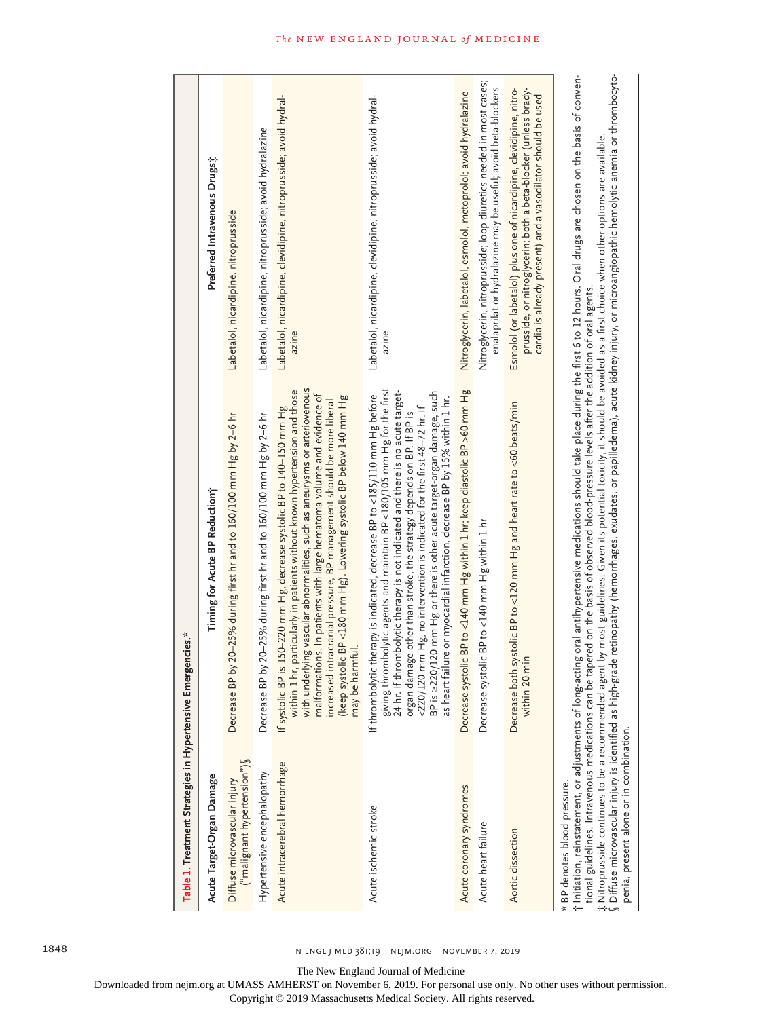| Table 1. Treatment Strategies in Hypertensive Eme                       | rgencies.*                                                                                                                                                                                                                                                                                                                                                                                                                                                                                                                                                                                                                                                                                                                     |                                                                                                                                                                                                      |
|-------------------------------------------------------------------------|--------------------------------------------------------------------------------------------------------------------------------------------------------------------------------------------------------------------------------------------------------------------------------------------------------------------------------------------------------------------------------------------------------------------------------------------------------------------------------------------------------------------------------------------------------------------------------------------------------------------------------------------------------------------------------------------------------------------------------|------------------------------------------------------------------------------------------------------------------------------------------------------------------------------------------------------|
| Acute Target-Organ Damage                                               | Timing for Acute BP Reduction;                                                                                                                                                                                                                                                                                                                                                                                                                                                                                                                                                                                                                                                                                                 | Preferred Intravenous Drugs;                                                                                                                                                                         |
| ("malignant hypertension")<br>Diffuse microvascular injury              | by 20–25% during first hr and to 160/100 mm Hg by 2–6 hr<br>Decrease BP                                                                                                                                                                                                                                                                                                                                                                                                                                                                                                                                                                                                                                                        | Labetalol, nicardipine, nitroprusside                                                                                                                                                                |
| Hypertensive encephalopathy                                             | by 20–25% during first hr and to 160/100 mm Hg by 2–6 hr<br>Decrease BP                                                                                                                                                                                                                                                                                                                                                                                                                                                                                                                                                                                                                                                        | Labetalol, nicardipine, nitroprusside; avoid hydralazine                                                                                                                                             |
| Acute intracerebral hemorrhage                                          | with underlying vascular abnormalities, such as aneurysms or arteriovenous<br>within 1 hr, particularly in patients without known hypertension and those<br>malformations. In patients with large hematoma volume and evidence of<br>(keep systolic BP <180 mm Hg). Lowering systolic BP below 140 mm Hg<br>increased intracranial pressure, BP management should be more liberal<br>is 150-220 mm Hg, decrease systolic BP to 140-150 mm Hg<br>may be harmful.<br>If systolic BP                                                                                                                                                                                                                                              | Labetalol, nicardipine, clevidipine, nitroprusside; avoid hydral-<br>azine                                                                                                                           |
| Acute ischemic stroke                                                   | giving thrombolytic agents and maintain BP <180/105 mm Hg for the first<br>24 hr. If thrombolytic therapy is not indicated and there is no acute target-<br>BP is =220/120 mm Hg or there is other acute target-organ damage, such<br>If thrombolytic therapy is indicated, decrease BP to <185/110 mm Hg before<br>as heart failure or myocardial infarction, decrease BP by 15% within 1 hr.<br><220/120 mm Hg, no intervention is indicated for the first 48-72 hr. If<br>organ damage other than stroke, the strategy depends on BP. If BP is                                                                                                                                                                              | Labetalol, nicardipine, clevidipine, nitroprusside; avoid hydral-<br>azine                                                                                                                           |
| Acute coronary syndromes                                                | Decrease systolic BP to <140 mm Hg within 1 hr; keep diastolic BP >60 mm Hg                                                                                                                                                                                                                                                                                                                                                                                                                                                                                                                                                                                                                                                    | Nitroglycerin, labetalol, esmolol, metoprolol; avoid hydralazine                                                                                                                                     |
| Acute heart failure                                                     | Decrease systolic BP to <140 mm Hg within 1 hr                                                                                                                                                                                                                                                                                                                                                                                                                                                                                                                                                                                                                                                                                 | Nitroglycerin, nitroprusside; loop diuretics needed in most cases;<br>enalaprilat or hydralazine may be useful; avoid beta-blockers                                                                  |
| Aortic dissection                                                       | Decrease both systolic BP to <120 mm Hg and heart rate to <60 beats/min<br>nin)<br>within 20                                                                                                                                                                                                                                                                                                                                                                                                                                                                                                                                                                                                                                   | Esmolol (or labetalol) plus one of nicardipine, clevidipine, nitro-<br>prusside, or nitroglycerin; both a beta-blocker (unless brady-<br>cardia is already present) and a vasodilator should be used |
| penia, present alone or in combination.<br>* BP denotes blood pressure. | Mise microvascular injury is identified as high-grade retinopathy (hemorrhages, exudates, or papilledema), acute kidney injury, or microangiopathic hemolytic anemia or thrombocyto-<br>† Initiation, reinstatement, or adjustments of long-acting oral antihypertensive medications should take place during the first 6 to 12 hours. Oral drugs are chosen on the basis of conven-<br>$\ddagger$ Nitroprusside continues to be a recommended agent by most guidelines. Given its potential toxicity, it should be avoided as a first choice when other options are available.<br>tional guidelines. Intravenous medications can be tapered on the basis of observed blood-pressure levels after the addition of oral agents. |                                                                                                                                                                                                      |

1848 n engl j med 381;19 nejm.org November 7, 2019

The New England Journal of Medicine

Downloaded from nejm.org at UMASS AMHERST on November 6, 2019. For personal use only. No other uses without permission.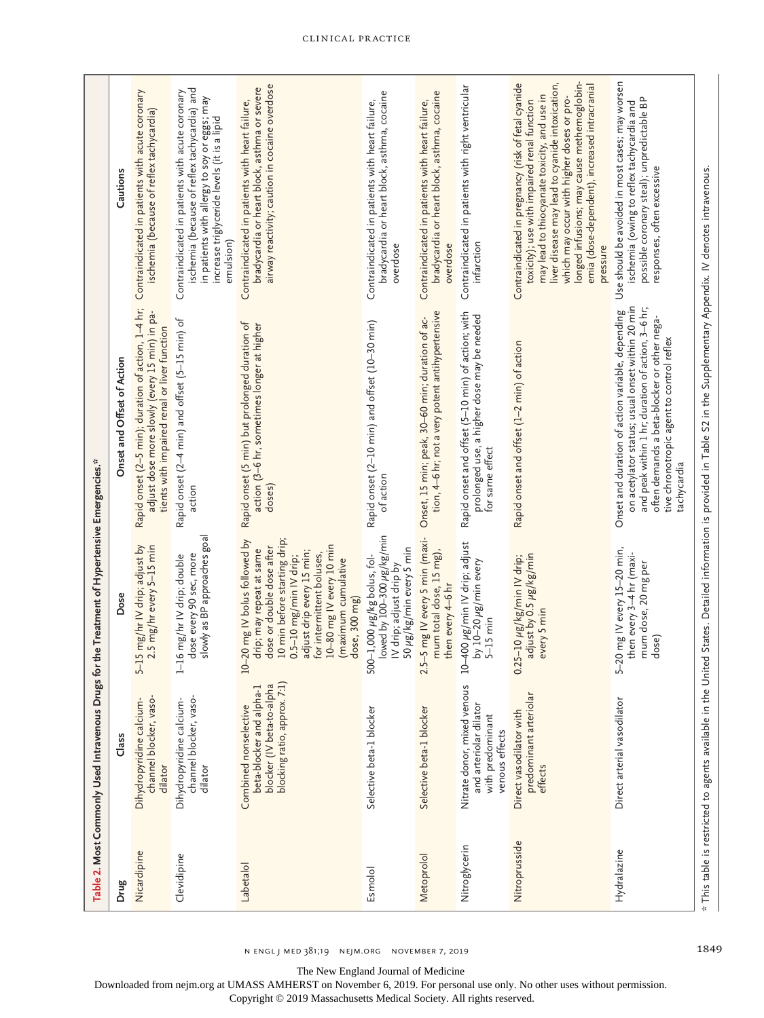|               | Table 2. Most Commonly Used Intravenous Drugs                                                                  | for the Treatment of Hypertensive Emergencies.*                                                                                                                                                                                                                                    |                                                                                                                                                                                                                                                                     |                                                                                                                                                                                                                                                                                                                                                               |
|---------------|----------------------------------------------------------------------------------------------------------------|------------------------------------------------------------------------------------------------------------------------------------------------------------------------------------------------------------------------------------------------------------------------------------|---------------------------------------------------------------------------------------------------------------------------------------------------------------------------------------------------------------------------------------------------------------------|---------------------------------------------------------------------------------------------------------------------------------------------------------------------------------------------------------------------------------------------------------------------------------------------------------------------------------------------------------------|
| Drug          | Class                                                                                                          | Dose                                                                                                                                                                                                                                                                               | Onset and Offset of Action                                                                                                                                                                                                                                          | Cautions                                                                                                                                                                                                                                                                                                                                                      |
| Nicardipine   | channel blocker, vaso-<br>Dihydropyridine calcium-<br>dilator                                                  | 5-15 mg/hr IV drip; adjust by<br>2.5 mg/hr every 5-15 min                                                                                                                                                                                                                          | Rapid onset (2-5 min); duration of action, 1-4 hr;<br>adjust dose more slowly (every 15 min) in pa-<br>tients with impaired renal or liver function                                                                                                                 | Contraindicated in patients with acute coronary<br>ischemia (because of reflex tachycardia)                                                                                                                                                                                                                                                                   |
| Clevidipine   | channel blocker, vaso-<br>Dihydropyridine calcium-<br>dilator                                                  | slowly as BP approaches goal<br>dose every 90 sec, more<br>1-16 mg/hr IV drip; double                                                                                                                                                                                              | Rapid onset (2-4 min) and offset (5-15 min) of<br>action                                                                                                                                                                                                            | ischemia (because of reflex tachycardia) and<br>Contraindicated in patients with acute coronary<br>in patients with allergy to soy or eggs; may<br>increase triglyceride levels (it is a lipid<br>emulsion)                                                                                                                                                   |
| Labetalol     | blocking ratio, approx. 7:1)<br>blocker (IV beta-to-alpha<br>beta-blocker and alpha-1<br>Combined nonselective | 10 min before starting drip;<br>10-20 mg IV bolus followed by<br>10-80 mg IV every 10 min<br>dose or double dose after<br>drip; may repeat at same<br>adjust drip every 15 min;<br>for intermittent boluses,<br>$0.5 - 10$ mg/min IV drip;<br>(maximum cumulative<br>dose, 300 mg) | Rapid onset (5 min) but prolonged duration of<br>action (3-6 hr, sometimes longer at higher<br>doses)                                                                                                                                                               | airway reactivity; caution in cocaine overdose<br>bradycardia or heart block, asthma or severe<br>Contraindicated in patients with heart failure,                                                                                                                                                                                                             |
| Esmolol       | Selective beta-1 blocker                                                                                       | lowed by 100-300 µg/kg/min<br>50 µg/kg/min every 5 min<br>500–1,000 µg/kg bolus, fol-<br>IV drip; adjust drip by                                                                                                                                                                   | Rapid onset (2-10 min) and offset (10-30 min)<br>of action                                                                                                                                                                                                          | bradycardia or heart block, asthma, cocaine<br>Contraindicated in patients with heart failure,<br>overdose                                                                                                                                                                                                                                                    |
| Metoprolol    | Selective beta-1 blocker                                                                                       | 2.5-5 mg IV every 5 min (maxi-<br>mum total dose, 15 mg),<br>then every 4–6 hr                                                                                                                                                                                                     | tion, 4-6 hr; not a very potent antihypertensive<br>Onset, 15 min; peak, 30-60 min; duration of ac-                                                                                                                                                                 | bradycardia or heart block, asthma, cocaine<br>Contraindicated in patients with heart failure,<br>overdose                                                                                                                                                                                                                                                    |
| Nitroglycerin | Nitrate donor, mixed venous<br>and arteriolar dilator<br>with predominant<br>venous effects                    | 10-400 µg/min IV drip; adjust<br>by $10-20 \ \mu g/min$ every<br>$5-15$ min                                                                                                                                                                                                        | Rapid onset and offset (5-10 min) of action; with<br>prolonged use, a higher dose may be needed<br>for same effect                                                                                                                                                  | Contraindicated in patients with right ventricular<br>infarction                                                                                                                                                                                                                                                                                              |
| Nitroprusside | predominant arteriolar<br>Direct vasodilator with<br>effects                                                   | adjust by 0.5 µg/kg/min<br>$0.25 - 10 \mu g/kg/min$ IV drip;<br>every 5 min                                                                                                                                                                                                        | Rapid onset and offset (1-2 min) of action                                                                                                                                                                                                                          | longed infusions; may cause methemoglobin-<br>Contraindicated in pregnancy (risk of fetal cyanide<br>liver disease may lead to cyanide intoxication,<br>emia (dose-dependent), increased intracranial<br>may lead to thiocyanate toxicity, and use in<br>which may occur with higher doses or pro-<br>toxicity); use with impaired renal function<br>pressure |
| Hydralazine   | Direct arterial vasodilator                                                                                    | 5-20 mg IV every 15-20 min,<br>then every 3-4 hr (maxi-<br>mum dose, 20 mg per<br>dose)                                                                                                                                                                                            | on acetylator status; usual onset within 20 min<br>and peak within 1 hr; duration of action, 3-6 hr;<br>Onset and duration of action variable, depending<br>often demands a beta-blocker or other nega-<br>tive chronotropic agent to control reflex<br>tachycardia | Use should be avoided in most cases; may worsen<br>possible coronary steal); unpredictable BP<br>ischemia (owing to reflex tachycardia and<br>responses, often excessive                                                                                                                                                                                      |
|               |                                                                                                                |                                                                                                                                                                                                                                                                                    | * This table is restricted to agents available in the United States. Detailed information is provided in Table S2 in the Supplementary Appendix. IV denotes intravenous.                                                                                            |                                                                                                                                                                                                                                                                                                                                                               |

The New England Journal of Medicine Downloaded from nejm.org at UMASS AMHERST on November 6, 2019. For personal use only. No other uses without permission. Copyright © 2019 Massachusetts Medical Society. All rights reserved.

Clinical Practice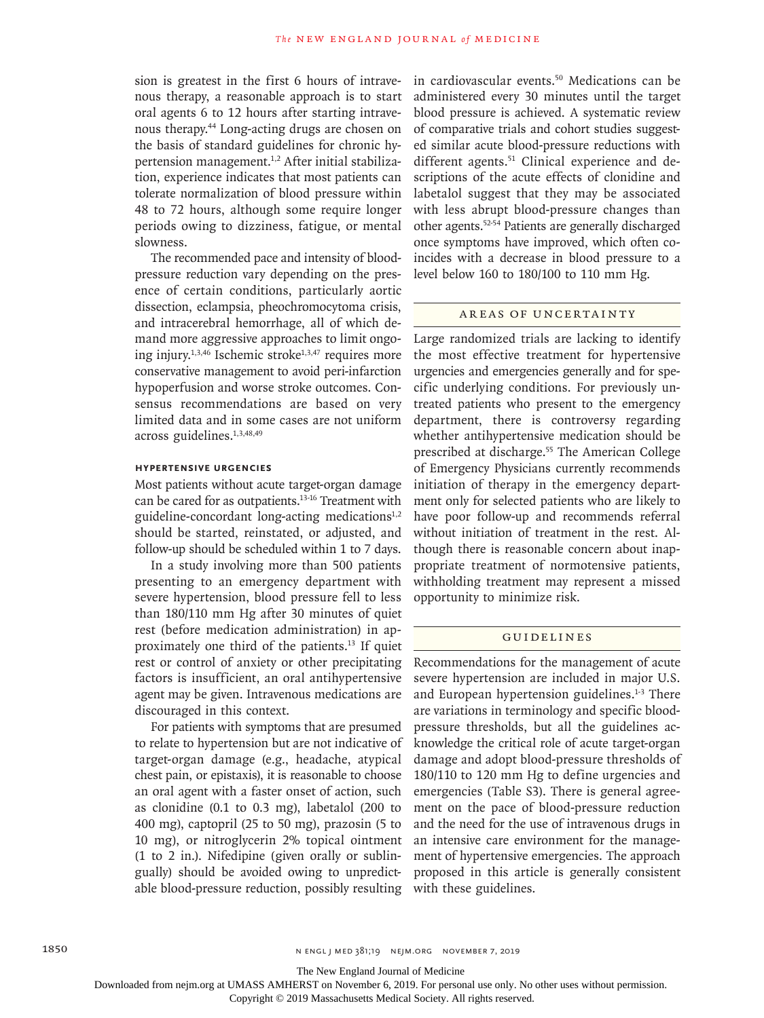sion is greatest in the first 6 hours of intravenous therapy, a reasonable approach is to start oral agents 6 to 12 hours after starting intravenous therapy.44 Long-acting drugs are chosen on the basis of standard guidelines for chronic hypertension management.<sup>1,2</sup> After initial stabilization, experience indicates that most patients can tolerate normalization of blood pressure within 48 to 72 hours, although some require longer periods owing to dizziness, fatigue, or mental slowness.

The recommended pace and intensity of bloodpressure reduction vary depending on the presence of certain conditions, particularly aortic dissection, eclampsia, pheochromocytoma crisis, and intracerebral hemorrhage, all of which demand more aggressive approaches to limit ongoing injury. $1,3,46$  Ischemic stroke $1,3,47$  requires more conservative management to avoid peri-infarction hypoperfusion and worse stroke outcomes. Consensus recommendations are based on very limited data and in some cases are not uniform across guidelines.1,3,48,49

# **Hypertensive Urgencies**

Most patients without acute target-organ damage can be cared for as outpatients.13-16 Treatment with guideline-concordant long-acting medications<sup>1,2</sup> should be started, reinstated, or adjusted, and follow-up should be scheduled within 1 to 7 days.

In a study involving more than 500 patients presenting to an emergency department with severe hypertension, blood pressure fell to less than 180/110 mm Hg after 30 minutes of quiet rest (before medication administration) in approximately one third of the patients.13 If quiet rest or control of anxiety or other precipitating factors is insufficient, an oral antihypertensive agent may be given. Intravenous medications are discouraged in this context.

For patients with symptoms that are presumed to relate to hypertension but are not indicative of target-organ damage (e.g., headache, atypical chest pain, or epistaxis), it is reasonable to choose an oral agent with a faster onset of action, such as clonidine (0.1 to 0.3 mg), labetalol (200 to 400 mg), captopril (25 to 50 mg), prazosin (5 to 10 mg), or nitroglycerin 2% topical ointment (1 to 2 in.). Nifedipine (given orally or sublingually) should be avoided owing to unpredictable blood-pressure reduction, possibly resulting in cardiovascular events.50 Medications can be administered every 30 minutes until the target blood pressure is achieved. A systematic review of comparative trials and cohort studies suggested similar acute blood-pressure reductions with different agents.<sup>51</sup> Clinical experience and descriptions of the acute effects of clonidine and labetalol suggest that they may be associated with less abrupt blood-pressure changes than other agents.52-54 Patients are generally discharged once symptoms have improved, which often coincides with a decrease in blood pressure to a level below 160 to 180/100 to 110 mm Hg.

# Areas of Uncertainty

Large randomized trials are lacking to identify the most effective treatment for hypertensive urgencies and emergencies generally and for specific underlying conditions. For previously untreated patients who present to the emergency department, there is controversy regarding whether antihypertensive medication should be prescribed at discharge.55 The American College of Emergency Physicians currently recommends initiation of therapy in the emergency department only for selected patients who are likely to have poor follow-up and recommends referral without initiation of treatment in the rest. Although there is reasonable concern about inappropriate treatment of normotensive patients, withholding treatment may represent a missed opportunity to minimize risk.

# Guidelines

Recommendations for the management of acute severe hypertension are included in major U.S. and European hypertension guidelines.1-3 There are variations in terminology and specific bloodpressure thresholds, but all the guidelines acknowledge the critical role of acute target-organ damage and adopt blood-pressure thresholds of 180/110 to 120 mm Hg to define urgencies and emergencies (Table S3). There is general agreement on the pace of blood-pressure reduction and the need for the use of intravenous drugs in an intensive care environment for the management of hypertensive emergencies. The approach proposed in this article is generally consistent with these guidelines.

The New England Journal of Medicine

Downloaded from nejm.org at UMASS AMHERST on November 6, 2019. For personal use only. No other uses without permission.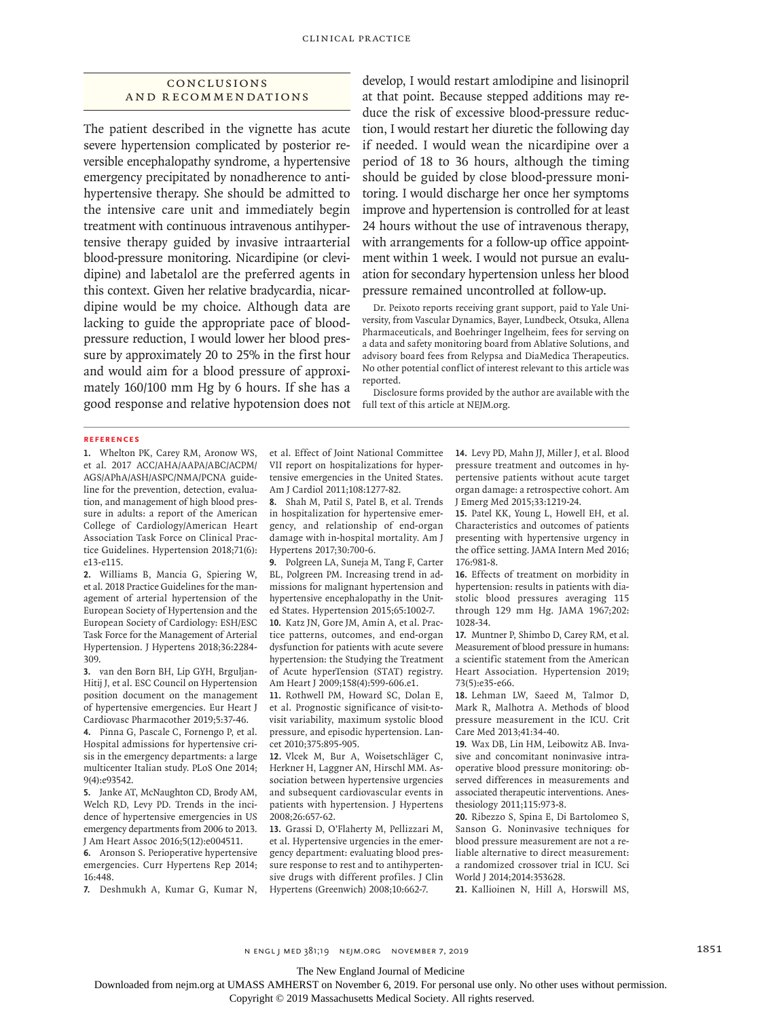# Conclusions and Recommendations

The patient described in the vignette has acute severe hypertension complicated by posterior reversible encephalopathy syndrome, a hypertensive emergency precipitated by nonadherence to antihypertensive therapy. She should be admitted to the intensive care unit and immediately begin treatment with continuous intravenous antihypertensive therapy guided by invasive intraarterial blood-pressure monitoring. Nicardipine (or clevidipine) and labetalol are the preferred agents in this context. Given her relative bradycardia, nicardipine would be my choice. Although data are lacking to guide the appropriate pace of bloodpressure reduction, I would lower her blood pressure by approximately 20 to 25% in the first hour and would aim for a blood pressure of approximately 160/100 mm Hg by 6 hours. If she has a good response and relative hypotension does not develop, I would restart amlodipine and lisinopril at that point. Because stepped additions may reduce the risk of excessive blood-pressure reduction, I would restart her diuretic the following day if needed. I would wean the nicardipine over a period of 18 to 36 hours, although the timing should be guided by close blood-pressure monitoring. I would discharge her once her symptoms improve and hypertension is controlled for at least 24 hours without the use of intravenous therapy, with arrangements for a follow-up office appointment within 1 week. I would not pursue an evaluation for secondary hypertension unless her blood pressure remained uncontrolled at follow-up.

Dr. Peixoto reports receiving grant support, paid to Yale University, from Vascular Dynamics, Bayer, Lundbeck, Otsuka, Allena Pharmaceuticals, and Boehringer Ingelheim, fees for serving on a data and safety monitoring board from Ablative Solutions, and advisory board fees from Relypsa and DiaMedica Therapeutics. No other potential conflict of interest relevant to this article was reported.

Disclosure forms provided by the author are available with the full text of this article at NEJM.org.

#### **References**

**1.** Whelton PK, Carey RM, Aronow WS, et al. 2017 ACC/AHA/AAPA/ABC/ACPM/ AGS/APhA/ASH/ASPC/NMA/PCNA guideline for the prevention, detection, evaluation, and management of high blood pressure in adults: a report of the American College of Cardiology/American Heart Association Task Force on Clinical Practice Guidelines. Hypertension 2018;71(6): e13-e115.

**2.** Williams B, Mancia G, Spiering W, et al. 2018 Practice Guidelines for the management of arterial hypertension of the European Society of Hypertension and the European Society of Cardiology: ESH/ESC Task Force for the Management of Arterial Hypertension. J Hypertens 2018;36:2284- 309.

**3.** van den Born BH, Lip GYH, Brguljan-Hitij J, et al. ESC Council on Hypertension position document on the management of hypertensive emergencies. Eur Heart J Cardiovasc Pharmacother 2019;5:37-46. **4.** Pinna G, Pascale C, Fornengo P, et al.

Hospital admissions for hypertensive crisis in the emergency departments: a large multicenter Italian study. PLoS One 2014; 9(4):e93542.

**5.** Janke AT, McNaughton CD, Brody AM, Welch RD, Levy PD. Trends in the incidence of hypertensive emergencies in US emergency departments from 2006 to 2013. J Am Heart Assoc 2016;5(12):e004511.

**6.** Aronson S. Perioperative hypertensive emergencies. Curr Hypertens Rep 2014; 16:448.

**7.** Deshmukh A, Kumar G, Kumar N,

et al. Effect of Joint National Committee VII report on hospitalizations for hypertensive emergencies in the United States. Am J Cardiol 2011;108:1277-82.

**8.** Shah M, Patil S, Patel B, et al. Trends in hospitalization for hypertensive emergency, and relationship of end-organ damage with in-hospital mortality. Am J Hypertens 2017;30:700-6.

**9.** Polgreen LA, Suneja M, Tang F, Carter BL, Polgreen PM. Increasing trend in admissions for malignant hypertension and hypertensive encephalopathy in the United States. Hypertension 2015;65:1002-7.

**10.** Katz JN, Gore JM, Amin A, et al. Practice patterns, outcomes, and end-organ dysfunction for patients with acute severe hypertension: the Studying the Treatment of Acute hyperTension (STAT) registry. Am Heart J 2009;158(4):599-606.e1.

**11.** Rothwell PM, Howard SC, Dolan E, et al. Prognostic significance of visit-tovisit variability, maximum systolic blood pressure, and episodic hypertension. Lancet 2010;375:895-905.

**12.** Vlcek M, Bur A, Woisetschläger C, Herkner H, Laggner AN, Hirschl MM. Association between hypertensive urgencies and subsequent cardiovascular events in patients with hypertension. J Hypertens 2008;26:657-62.

**13.** Grassi D, O'Flaherty M, Pellizzari M, et al. Hypertensive urgencies in the emergency department: evaluating blood pressure response to rest and to antihypertensive drugs with different profiles. J Clin Hypertens (Greenwich) 2008;10:662-7.

**14.** Levy PD, Mahn JJ, Miller J, et al. Blood pressure treatment and outcomes in hypertensive patients without acute target organ damage: a retrospective cohort. Am J Emerg Med 2015;33:1219-24.

**15.** Patel KK, Young L, Howell EH, et al. Characteristics and outcomes of patients presenting with hypertensive urgency in the office setting. JAMA Intern Med 2016; 176:981-8.

**16.** Effects of treatment on morbidity in hypertension: results in patients with diastolic blood pressures averaging 115 through 129 mm Hg. JAMA 1967;202: 1028-34.

**17.** Muntner P, Shimbo D, Carey RM, et al. Measurement of blood pressure in humans: a scientific statement from the American Heart Association. Hypertension 2019; 73(5):e35-e66.

**18.** Lehman LW, Saeed M, Talmor D, Mark R, Malhotra A. Methods of blood pressure measurement in the ICU. Crit Care Med 2013;41:34-40.

**19.** Wax DB, Lin HM, Leibowitz AB. Invasive and concomitant noninvasive intraoperative blood pressure monitoring: observed differences in measurements and associated therapeutic interventions. Anesthesiology 2011;115:973-8.

**20.** Ribezzo S, Spina E, Di Bartolomeo S, Sanson G. Noninvasive techniques for blood pressure measurement are not a reliable alternative to direct measurement: a randomized crossover trial in ICU. Sci World J 2014;2014:353628.

**21.** Kallioinen N, Hill A, Horswill MS,

n engl j med 381;19 nejm.org November 7, 2019 1851

The New England Journal of Medicine

Downloaded from nejm.org at UMASS AMHERST on November 6, 2019. For personal use only. No other uses without permission.